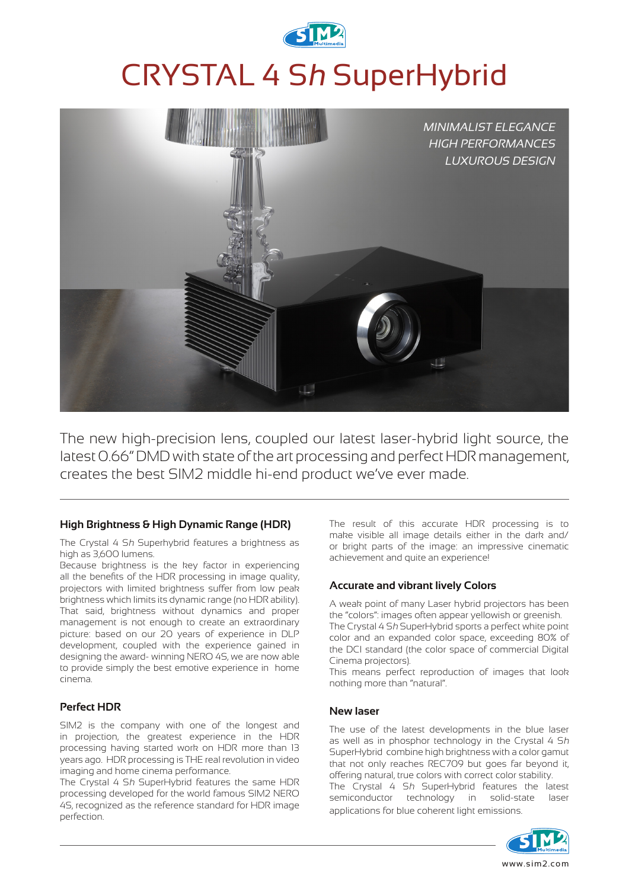

# CRYSTAL 4 S<sup>h</sup> SuperHybrid



The new high-precision lens, coupled our latest laser-hybrid light source, the latest 0.66" DMD with state of the art processing and perfect HDR management, creates the best SIM2 middle hi-end product we've ever made.

#### **High Brightness & High Dynamic Range (HDR)**

The Crystal 4 Sh Superhybrid features a brightness as high as 3,600 lumens.

Because brightness is the key factor in experiencing all the benefits of the HDR processing in image quality, projectors with limited brightness suffer from low peak brightness which limits its dynamic range (no HDR ability). That said, brightness without dynamics and proper management is not enough to create an extraordinary picture: based on our 20 years of experience in DLP development, coupled with the experience gained in designing the award- winning NERO 4S, we are now able to provide simply the best emotive experience in home cinema.

# **Perfect HDR**

SIM2 is the company with one of the longest and in projection, the greatest experience in the HDR processing having started work on HDR more than 13 years ago. HDR processing is THE real revolution in video imaging and home cinema performance.

The Crystal 4 Sh SuperHybrid features the same HDR processing developed for the world famous SIM2 NERO 4S, recognized as the reference standard for HDR image perfection.

The result of this accurate HDR processing is to make visible all image details either in the dark and/ or bright parts of the image: an impressive cinematic achievement and quite an experience!

# **Accurate and vibrant lively Colors**

A weak point of many Laser hybrid projectors has been the "colors": images often appear yellowish or greenish.

The Crystal 4 Sh SuperHybrid sports a perfect white point color and an expanded color space, exceeding 80% of the DCI standard (the color space of commercial Digital Cinema projectors).

This means perfect reproduction of images that look nothing more than "natural".

#### **New laser**

The use of the latest developments in the blue laser as well as in phosphor technology in the Crystal 4 Sh SuperHybrid combine high brightness with a color gamut that not only reaches REC709 but goes far beyond it, offering natural, true colors with correct color stability.

The Crystal 4 Sh SuperHybrid features the latest semiconductor technology in solid-state laser applications for blue coherent light emissions.

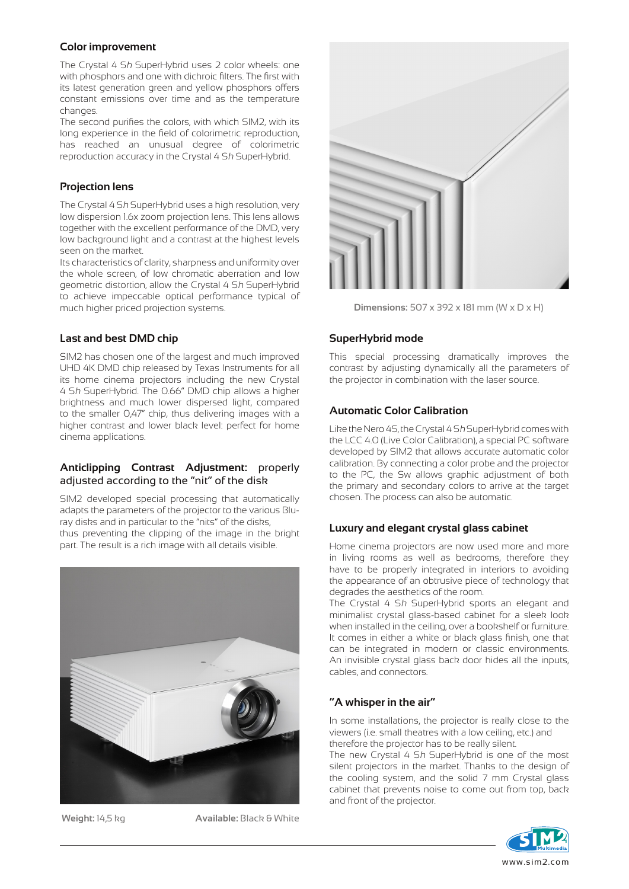#### **Color improvement**

The Crystal 4 Sh SuperHybrid uses 2 color wheels: one with phosphors and one with dichroic filters. The first with its latest generation green and yellow phosphors offers constant emissions over time and as the temperature changes.

The second purifies the colors, with which SIM2, with its long experience in the field of colorimetric reproduction, has reached an unusual degree of colorimetric reproduction accuracy in the Crystal 4 Sh SuperHybrid.

# **Projection lens**

The Crystal 4 Sh SuperHybrid uses a high resolution, very low dispersion 1.6x zoom projection lens. This lens allows together with the excellent performance of the DMD, very low background light and a contrast at the highest levels seen on the market.

Its characteristics of clarity, sharpness and uniformity over the whole screen, of low chromatic aberration and low geometric distortion, allow the Crystal 4 Sh SuperHybrid to achieve impeccable optical performance typical of much higher priced projection systems.

#### **Last and best DMD chip**

SIM2 has chosen one of the largest and much improved UHD 4K DMD chip released by Texas Instruments for all its home cinema projectors including the new Crystal 4 Sh SuperHybrid. The 0.66" DMD chip allows a higher brightness and much lower dispersed light, compared to the smaller O,47" chip, thus delivering images with a higher contrast and lower black level: perfect for home cinema applications.

#### **Anticlipping Contrast Adjustment:** properly adjusted according to the "nit" of the disk

SIM2 developed special processing that automatically adapts the parameters of the projector to the various Bluray disks and in particular to the "nits" of the disks, thus preventing the clipping of the image in the bright part. The result is a rich image with all details visible.



**Weight:** 14,5 kg **Available:** Black & White



**Dimensions:** 507 x 392 x 181 mm (W x D x H)

## **SuperHybrid mode**

This special processing dramatically improves the contrast by adjusting dynamically all the parameters of the projector in combination with the laser source.

## **Automatic Color Calibration**

Like the Nero 4S, the Crystal 4 Sh SuperHybrid comes with the LCC 4.0 (Live Color Calibration), a special PC software developed by SIM2 that allows accurate automatic color calibration. By connecting a color probe and the projector to the PC, the Sw allows graphic adjustment of both the primary and secondary colors to arrive at the target chosen. The process can also be automatic.

# **Luxury and elegant crystal glass cabinet**

Home cinema projectors are now used more and more in living rooms as well as bedrooms, therefore they have to be properly integrated in interiors to avoiding the appearance of an obtrusive piece of technology that degrades the aesthetics of the room.

The Crystal 4 Sh SuperHybrid sports an elegant and minimalist crystal glass-based cabinet for a sleek look when installed in the ceiling, over a bookshelf or furniture. It comes in either a white or black glass finish, one that can be integrated in modern or classic environments. An invisible crystal glass back door hides all the inputs, cables, and connectors.

# **"A whisper in the air"**

In some installations, the projector is really close to the viewers (i.e. small theatres with a low ceiling, etc.) and therefore the projector has to be really silent.

The new Crystal 4 Sh SuperHybrid is one of the most silent projectors in the market. Thanks to the design of the cooling system, and the solid 7 mm Crystal glass cabinet that prevents noise to come out from top, back and front of the projector.